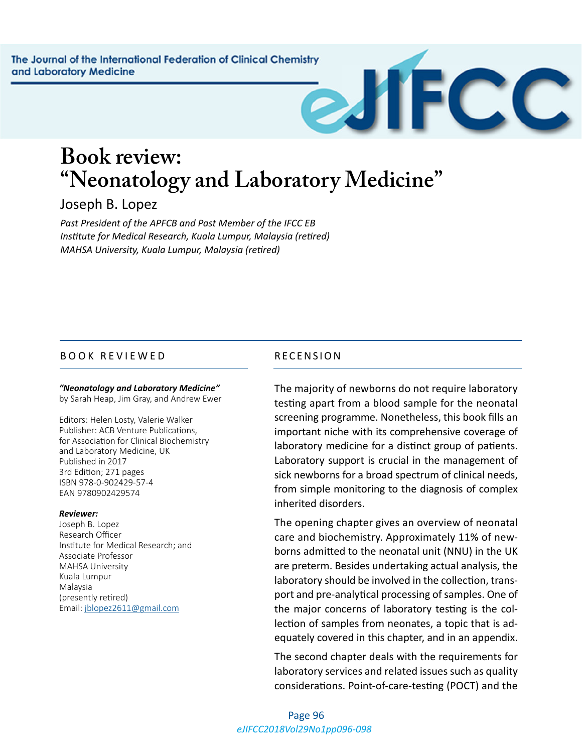# **Book review: "Neonatology and Laboratory Medicine"**

## Joseph B. Lopez

*Past President of the APFCB and Past Member of the IFCC EB Institute for Medical Research, Kuala Lumpur, Malaysia (retired) MAHSA University, Kuala Lumpur, Malaysia (retired)*

### BOOK REVIEWED RECENSION

#### *"Neonatology and Laboratory Medicine"*

by Sarah Heap, Jim Gray, and Andrew Ewer

Editors: Helen Losty, Valerie Walker Publisher: ACB Venture Publications, for Association for Clinical Biochemistry and Laboratory Medicine, UK Published in 2017 3rd Edition; 271 pages ISBN 978-0-902429-57-4 EAN 9780902429574

#### *Reviewer:*

Joseph B. Lopez Research Officer Institute for Medical Research; and Associate Professor MAHSA University Kuala Lumpur Malaysia (presently retired) Email: [jblopez2611@gmail.com](mailto:jblopez2611@gmail.com)

The majority of newborns do not require laboratory testing apart from a blood sample for the neonatal screening programme. Nonetheless, this book fills an important niche with its comprehensive coverage of laboratory medicine for a distinct group of patients. Laboratory support is crucial in the management of sick newborns for a broad spectrum of clinical needs, from simple monitoring to the diagnosis of complex inherited disorders.

CC

The opening chapter gives an overview of neonatal care and biochemistry. Approximately 11% of newborns admitted to the neonatal unit (NNU) in the UK are preterm. Besides undertaking actual analysis, the laboratory should be involved in the collection, transport and pre-analytical processing of samples. One of the major concerns of laboratory testing is the collection of samples from neonates, a topic that is adequately covered in this chapter, and in an appendix.

The second chapter deals with the requirements for laboratory services and related issues such as quality considerations. Point-of-care-testing (POCT) and the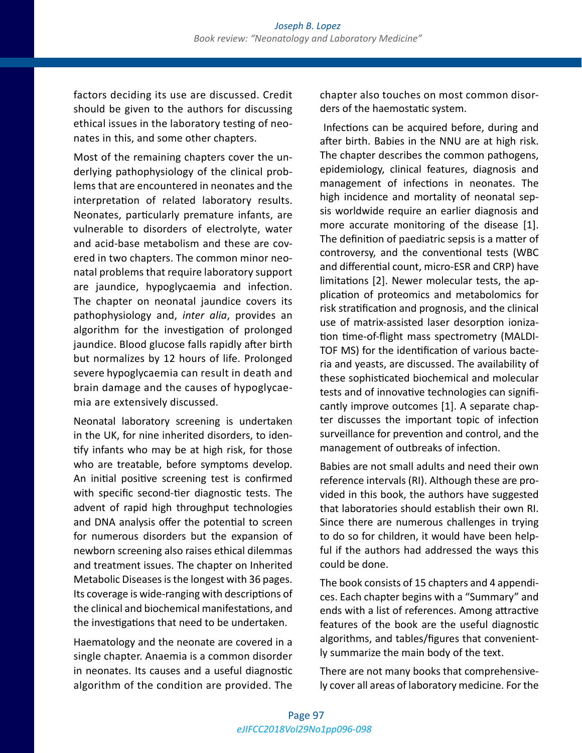factors deciding its use are discussed. Credit should be given to the authors for discussing ethical issues in the laboratory testing of neonates in this, and some other chapters.

Most of the remaining chapters cover the underlying pathophysiology of the clinical problems that are encountered in neonates and the interpretation of related laboratory results. Neonates, particularly premature infants, are vulnerable to disorders of electrolyte, water and acid-base metabolism and these are covered in two chapters. The common minor neonatal problems that require laboratory support are jaundice, hypoglycaemia and infection. The chapter on neonatal jaundice covers its pathophysiology and, *inter alia*, provides an algorithm for the investigation of prolonged jaundice. Blood glucose falls rapidly after birth but normalizes by 12 hours of life. Prolonged severe hypoglycaemia can result in death and brain damage and the causes of hypoglycaemia are extensively discussed.

Neonatal laboratory screening is undertaken in the UK, for nine inherited disorders, to identify infants who may be at high risk, for those who are treatable, before symptoms develop. An initial positive screening test is confirmed with specific second-tier diagnostic tests. The advent of rapid high throughput technologies and DNA analysis offer the potential to screen for numerous disorders but the expansion of newborn screening also raises ethical dilemmas and treatment issues. The chapter on Inherited Metabolic Diseases is the longest with 36 pages. Its coverage is wide-ranging with descriptions of the clinical and biochemical manifestations, and the investigations that need to be undertaken.

Haematology and the neonate are covered in a single chapter. Anaemia is a common disorder in neonates. Its causes and a useful diagnostic algorithm of the condition are provided. The

chapter also touches on most common disorders of the haemostatic system.

 Infections can be acquired before, during and after birth. Babies in the NNU are at high risk. The chapter describes the common pathogens, epidemiology, clinical features, diagnosis and management of infections in neonates. The high incidence and mortality of neonatal sepsis worldwide require an earlier diagnosis and more accurate monitoring of the disease [1]. The definition of paediatric sepsis is a matter of controversy, and the conventional tests (WBC and differential count, micro-ESR and CRP) have limitations [2]. Newer molecular tests, the application of proteomics and metabolomics for risk stratification and prognosis, and the clinical use of matrix-assisted laser desorption ionization time-of-flight mass spectrometry (MALDI-TOF MS) for the identification of various bacteria and yeasts, are discussed. The availability of these sophisticated biochemical and molecular tests and of innovative technologies can significantly improve outcomes [1]. A separate chapter discusses the important topic of infection surveillance for prevention and control, and the management of outbreaks of infection.

Babies are not small adults and need their own reference intervals (RI). Although these are provided in this book, the authors have suggested that laboratories should establish their own RI. Since there are numerous challenges in trying to do so for children, it would have been helpful if the authors had addressed the ways this could be done.

The book consists of 15 chapters and 4 appendices. Each chapter begins with a "Summary" and ends with a list of references. Among attractive features of the book are the useful diagnostic algorithms, and tables/figures that conveniently summarize the main body of the text.

There are not many books that comprehensively cover all areas of laboratory medicine. For the